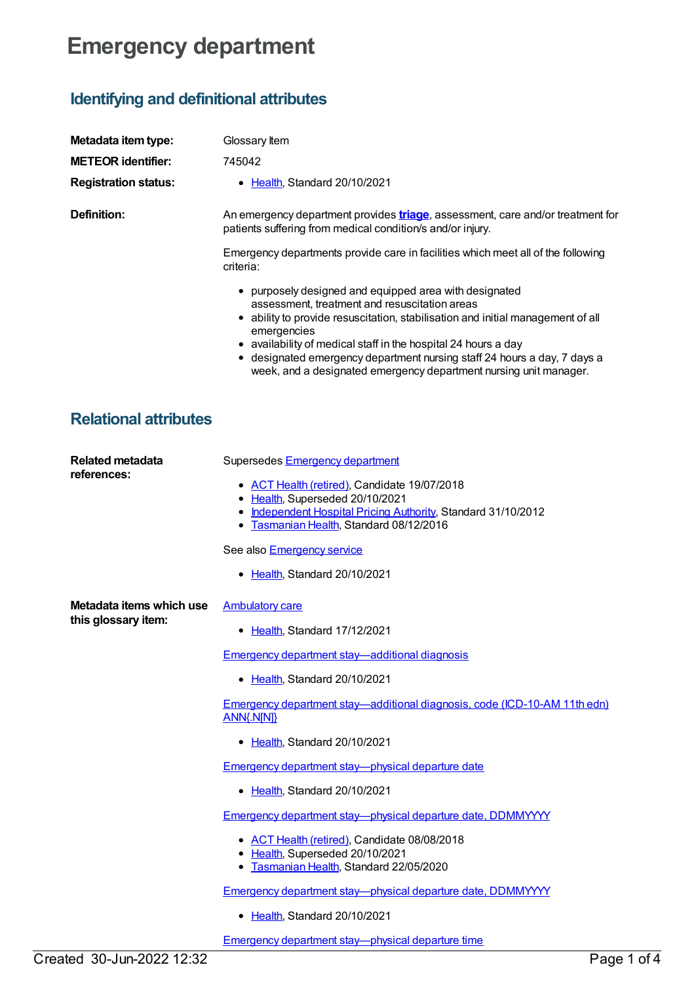## **Emergency department**

## **Identifying and definitional attributes**

| Metadata item type:                    | Glossary Item                                                                                                                                                                                                                                                                                                                                                                                                                |
|----------------------------------------|------------------------------------------------------------------------------------------------------------------------------------------------------------------------------------------------------------------------------------------------------------------------------------------------------------------------------------------------------------------------------------------------------------------------------|
| <b>METEOR</b> identifier:              | 745042                                                                                                                                                                                                                                                                                                                                                                                                                       |
| <b>Registration status:</b>            | • Health, Standard 20/10/2021                                                                                                                                                                                                                                                                                                                                                                                                |
| <b>Definition:</b>                     | An emergency department provides <b>triage</b> , assessment, care and/or treatment for<br>patients suffering from medical condition/s and/or injury.                                                                                                                                                                                                                                                                         |
|                                        | Emergency departments provide care in facilities which meet all of the following<br>criteria:                                                                                                                                                                                                                                                                                                                                |
|                                        | • purposely designed and equipped area with designated<br>assessment, treatment and resuscitation areas<br>• ability to provide resuscitation, stabilisation and initial management of all<br>emergencies<br>• availability of medical staff in the hospital 24 hours a day<br>• designated emergency department nursing staff 24 hours a day, 7 days a<br>week, and a designated emergency department nursing unit manager. |
| <b>Relational attributes</b>           |                                                                                                                                                                                                                                                                                                                                                                                                                              |
| <b>Related metadata</b><br>references: | Supersedes Emergency department<br>• ACT Health (retired), Candidate 19/07/2018<br>• Health, Superseded 20/10/2021<br>• Independent Hospital Pricing Authority, Standard 31/10/2012<br>• Tasmanian Health, Standard 08/12/2016<br>See also Emergency service                                                                                                                                                                 |

• [Health](https://meteor.aihw.gov.au/RegistrationAuthority/12), Standard 20/10/2021

**Metadata items which use this glossary item:**

## **[Ambulatory](https://meteor.aihw.gov.au/content/749893) care**

• [Health](https://meteor.aihw.gov.au/RegistrationAuthority/12), Standard 17/12/2021

Emergency department [stay—additional](https://meteor.aihw.gov.au/content/746070) diagnosis

• [Health](https://meteor.aihw.gov.au/RegistrationAuthority/12), Standard 20/10/2021

Emergency department [stay—additional](https://meteor.aihw.gov.au/content/746073) diagnosis, code (ICD-10-AM 11th edn) ANN{.N[N]}

• [Health](https://meteor.aihw.gov.au/RegistrationAuthority/12), Standard 20/10/2021

Emergency department [stay—physical](https://meteor.aihw.gov.au/content/746076) departure date

• [Health](https://meteor.aihw.gov.au/RegistrationAuthority/12), Standard 20/10/2021

Emergency department [stay—physical](https://meteor.aihw.gov.au/content/684489) departure date, DDMMYYYY

- ACT Health [\(retired\)](https://meteor.aihw.gov.au/RegistrationAuthority/9), Candidate 08/08/2018
- [Health](https://meteor.aihw.gov.au/RegistrationAuthority/12), Superseded 20/10/2021
- **[Tasmanian](https://meteor.aihw.gov.au/RegistrationAuthority/15) Health, Standard 22/05/2020**

Emergency department [stay—physical](https://meteor.aihw.gov.au/content/746078) departure date, DDMMYYYY

• [Health](https://meteor.aihw.gov.au/RegistrationAuthority/12), Standard 20/10/2021

Emergency department [stay—physical](https://meteor.aihw.gov.au/content/746081) departure time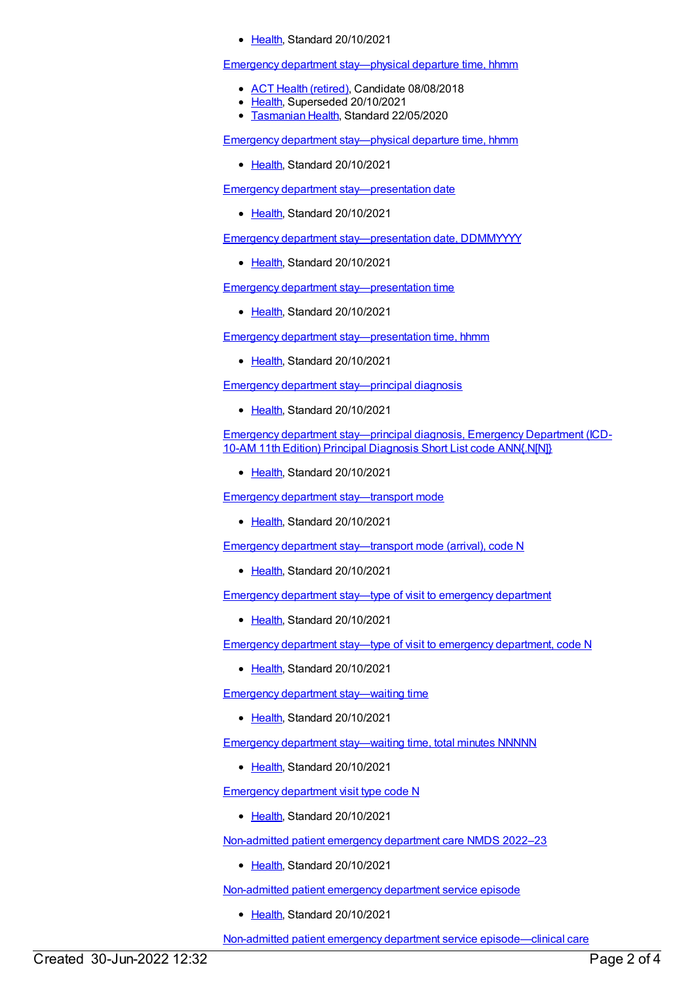## • [Health](https://meteor.aihw.gov.au/RegistrationAuthority/12), Standard 20/10/2021

Emergency department [stay—physical](https://meteor.aihw.gov.au/content/684600) departure time, hhmm

- ACT Health [\(retired\)](https://meteor.aihw.gov.au/RegistrationAuthority/9), Candidate 08/08/2018
- [Health](https://meteor.aihw.gov.au/RegistrationAuthority/12), Superseded 20/10/2021
- **[Tasmanian](https://meteor.aihw.gov.au/RegistrationAuthority/15) Health, Standard 22/05/2020**

Emergency department [stay—physical](https://meteor.aihw.gov.au/content/746084) departure time, hhmm

• [Health](https://meteor.aihw.gov.au/RegistrationAuthority/12), Standard 20/10/2021

Emergency department [stay—presentation](https://meteor.aihw.gov.au/content/746091) date

• [Health](https://meteor.aihw.gov.au/RegistrationAuthority/12), Standard 20/10/2021

Emergency department [stay—presentation](https://meteor.aihw.gov.au/content/746093) date, DDMMYYYY

• [Health](https://meteor.aihw.gov.au/RegistrationAuthority/12), Standard 20/10/2021

Emergency department [stay—presentation](https://meteor.aihw.gov.au/content/746096) time

• [Health](https://meteor.aihw.gov.au/RegistrationAuthority/12), Standard 20/10/2021

Emergency department [stay—presentation](https://meteor.aihw.gov.au/content/746098) time, hhmm

• [Health](https://meteor.aihw.gov.au/RegistrationAuthority/12), Standard 20/10/2021

Emergency department [stay—principal](https://meteor.aihw.gov.au/content/746102) diagnosis

• [Health](https://meteor.aihw.gov.au/RegistrationAuthority/12), Standard 20/10/2021

Emergency department [stay—principal](https://meteor.aihw.gov.au/content/746109) diagnosis, Emergency Department (ICD-10-AM 11th Edition) Principal Diagnosis Short List code ANN{.N[N]}

• [Health](https://meteor.aihw.gov.au/RegistrationAuthority/12), Standard 20/10/2021

Emergency department [stay—transport](https://meteor.aihw.gov.au/content/746112) mode

• [Health](https://meteor.aihw.gov.au/RegistrationAuthority/12), Standard 20/10/2021

Emergency department [stay—transport](https://meteor.aihw.gov.au/content/746114) mode (arrival), code N

• [Health](https://meteor.aihw.gov.au/RegistrationAuthority/12), Standard 20/10/2021

[Emergency](https://meteor.aihw.gov.au/content/746597) department stay—type of visit to emergency department

• [Health](https://meteor.aihw.gov.au/RegistrationAuthority/12), Standard 20/10/2021

Emergency department stay—type of visit to emergency [department,](https://meteor.aihw.gov.au/content/746599) code N

• [Health](https://meteor.aihw.gov.au/RegistrationAuthority/12), Standard 20/10/2021

Emergency department [stay—waiting](https://meteor.aihw.gov.au/content/746117) time

• [Health](https://meteor.aihw.gov.au/RegistrationAuthority/12), Standard 20/10/2021

Emergency department [stay—waiting](https://meteor.aihw.gov.au/content/746119) time, total minutes NNNNN

• [Health](https://meteor.aihw.gov.au/RegistrationAuthority/12), Standard 20/10/2021

[Emergency](https://meteor.aihw.gov.au/content/746595) department visit type code N

• [Health](https://meteor.aihw.gov.au/RegistrationAuthority/12), Standard 20/10/2021

[Non-admitted](https://meteor.aihw.gov.au/content/742184) patient emergency department care NMDS 2022–23

[Health](https://meteor.aihw.gov.au/RegistrationAuthority/12), Standard 20/10/2021

[Non-admitted](https://meteor.aihw.gov.au/content/746609) patient emergency department service episode

Ealth, Standard 20/10/2021

Non-admitted patient emergency department service [episode—clinical](https://meteor.aihw.gov.au/content/746611) care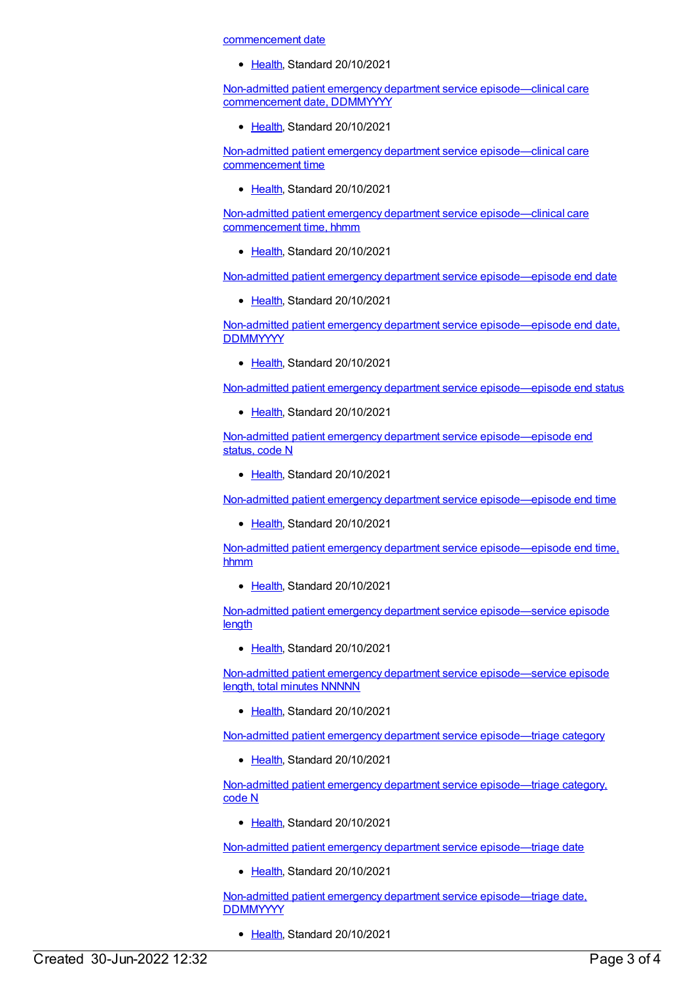commencement date

• [Health](https://meteor.aihw.gov.au/RegistrationAuthority/12), Standard 20/10/2021

Non-admitted patient emergency department service [episode—clinical](https://meteor.aihw.gov.au/content/746613) care commencement date, DDMMYYYY

[Health](https://meteor.aihw.gov.au/RegistrationAuthority/12), Standard 20/10/2021

Non-admitted patient emergency department service [episode—clinical](https://meteor.aihw.gov.au/content/746617) care commencement time

[Health](https://meteor.aihw.gov.au/RegistrationAuthority/12), Standard 20/10/2021

Non-admitted patient emergency department service [episode—clinical](https://meteor.aihw.gov.au/content/746621) care commencement time, hhmm

• [Health](https://meteor.aihw.gov.au/RegistrationAuthority/12), Standard 20/10/2021

Non-admitted patient emergency department service [episode—episode](https://meteor.aihw.gov.au/content/746701) end date

• [Health](https://meteor.aihw.gov.au/RegistrationAuthority/12), Standard 20/10/2021

Non-admitted patient emergency department service [episode—episode](https://meteor.aihw.gov.au/content/746704) end date, **DDMMYYYY** 

• [Health](https://meteor.aihw.gov.au/RegistrationAuthority/12), Standard 20/10/2021

Non-admitted patient emergency department service [episode—episode](https://meteor.aihw.gov.au/content/746706) end status

• [Health](https://meteor.aihw.gov.au/RegistrationAuthority/12), Standard 20/10/2021

Non-admitted patient emergency department service [episode—episode](https://meteor.aihw.gov.au/content/746709) end status, code N

• [Health](https://meteor.aihw.gov.au/RegistrationAuthority/12), Standard 20/10/2021

Non-admitted patient emergency department service [episode—episode](https://meteor.aihw.gov.au/content/746713) end time

[Health](https://meteor.aihw.gov.au/RegistrationAuthority/12), Standard 20/10/2021

Non-admitted patient emergency department service [episode—episode](https://meteor.aihw.gov.au/content/746717) end time, hhmm

[Health](https://meteor.aihw.gov.au/RegistrationAuthority/12), Standard 20/10/2021

Non-admitted patient emergency department service [episode—service](https://meteor.aihw.gov.au/content/746648) episode **length** 

• [Health](https://meteor.aihw.gov.au/RegistrationAuthority/12), Standard 20/10/2021

Non-admitted patient emergency department service [episode—service](https://meteor.aihw.gov.au/content/746650) episode length, total minutes NNNNN

• [Health](https://meteor.aihw.gov.au/RegistrationAuthority/12), Standard 20/10/2021

Non-admitted patient emergency department service [episode—triage](https://meteor.aihw.gov.au/content/746625) category

• [Health](https://meteor.aihw.gov.au/RegistrationAuthority/12), Standard 20/10/2021

Non-admitted patient emergency department service [episode—triage](https://meteor.aihw.gov.au/content/746627) category, code N

Ealth, Standard 20/10/2021

Non-admitted patient emergency department service [episode—triage](https://meteor.aihw.gov.au/content/746630) date

[Health](https://meteor.aihw.gov.au/RegistrationAuthority/12), Standard 20/10/2021

Non-admitted patient emergency department service [episode—triage](https://meteor.aihw.gov.au/content/746632) date, **DDMMYYYY** 

• [Health](https://meteor.aihw.gov.au/RegistrationAuthority/12), Standard 20/10/2021